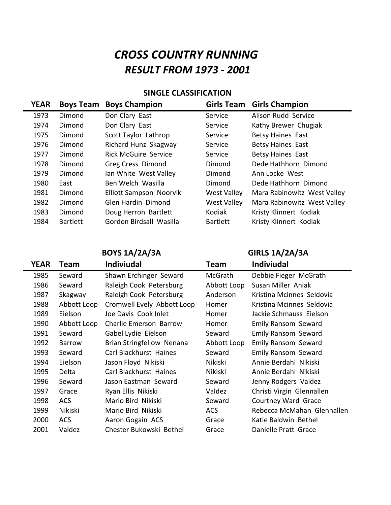## **CROSS COUNTRY RUNNING** *RESULT FROM 1973 - 2001*

## **SINGLE CLASSIFICATION**

| <b>Boys Team</b> | <b>Boys Champion</b>           | <b>Girls Team</b>  | <b>Girls Champion</b>       |
|------------------|--------------------------------|--------------------|-----------------------------|
| Dimond           | Don Clary East                 | Service            | Alison Rudd Service         |
| Dimond           | Don Clary East                 | Service            | Kathy Brewer Chugiak        |
| Dimond           | Scott Taylor Lathrop           | Service            | <b>Betsy Haines East</b>    |
| Dimond           | Richard Hunz Skagway           | Service            | <b>Betsy Haines East</b>    |
| Dimond           | <b>Rick McGuire Service</b>    | Service            | Betsy Haines East           |
| Dimond           | Greg Cress Dimond              | Dimond             | Dede Hathhorn Dimond        |
| Dimond           | Ian White West Valley          | Dimond             | Ann Locke West              |
| East             | Ben Welch Wasilla              | Dimond             | Dede Hathhorn Dimond        |
| Dimond           | <b>Elliott Sampson Noorvik</b> | <b>West Valley</b> | Mara Rabinowitz West Valley |
| Dimond           | Glen Hardin Dimond             | <b>West Valley</b> | Mara Rabinowitz West Valley |
| Dimond           | Doug Herron Bartlett           | Kodiak             | Kristy Klinnert Kodiak      |
| <b>Bartlett</b>  | Gordon Birdsall Wasilla        | <b>Bartlett</b>    | Kristy Klinnert Kodiak      |
|                  |                                |                    |                             |

**BOYS 1A/2A/3A GIRLS 1A/2A/3A** 

 $\overline{\phantom{0}}$ 

| <b>YEAR</b> | Team          | <b>Indiviudal</b>          | Team        | <b>Indiviudal</b>          |
|-------------|---------------|----------------------------|-------------|----------------------------|
| 1985        | Seward        | Shawn Erchinger Seward     | McGrath     | Debbie Fieger McGrath      |
| 1986        | Seward        | Raleigh Cook Petersburg    | Abbott Loop | Susan Miller Aniak         |
| 1987        | Skagway       | Raleigh Cook Petersburg    | Anderson    | Kristina Mcinnes Seldovia  |
| 1988        | Abbott Loop   | Cromwell Evely Abbott Loop | Homer       | Kristina Mcinnes Seldovia  |
| 1989        | Eielson       | Joe Davis Cook Inlet       | Homer       | Jackie Schmauss Eielson    |
| 1990        | Abbott Loop   | Charlie Emerson Barrow     | Homer       | Emily Ransom Seward        |
| 1991        | Seward        | Gabel Lydie Eielson        | Seward      | Emily Ransom Seward        |
| 1992        | <b>Barrow</b> | Brian Stringfellow Nenana  | Abbott Loop | Emily Ransom Seward        |
| 1993        | Seward        | Carl Blackhurst Haines     | Seward      | Emily Ransom Seward        |
| 1994        | Eielson       | Jason Floyd Nikiski        | Nikiski     | Annie Berdahl Nikiski      |
| 1995        | Delta         | Carl Blackhurst Haines     | Nikiski     | Annie Berdahl Nikiski      |
| 1996        | Seward        | Jason Eastman Seward       | Seward      | Jenny Rodgers Valdez       |
| 1997        | Grace         | Ryan Ellis Nikiski         | Valdez      | Christi Virgin Glennallen  |
| 1998        | <b>ACS</b>    | Mario Bird Nikiski         | Seward      | Courtney Ward Grace        |
| 1999        | Nikiski       | Mario Bird Nikiski         | <b>ACS</b>  | Rebecca McMahan Glennallen |
| 2000        | <b>ACS</b>    | Aaron Gogain ACS           | Grace       | Katie Baldwin Bethel       |
| 2001        | Valdez        | Chester Bukowski Bethel    | Grace       | Danielle Pratt Grace       |